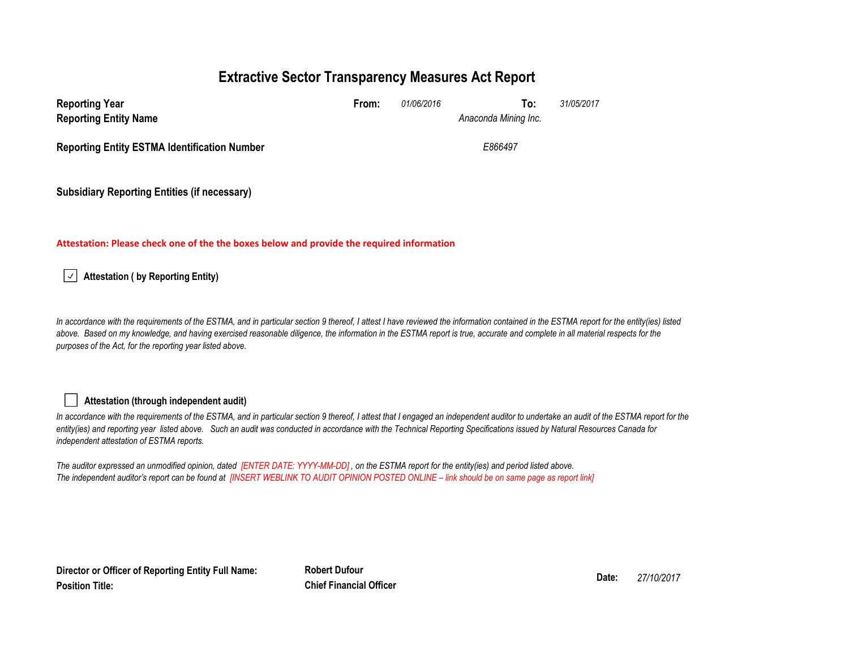# **Extractive Sector Transparency Measures Act Report**

| <b>Reporting Year</b><br><b>Reporting Entity Name</b> | From: | 01/06/2016 | 31/05/2017<br>To:<br>Anaconda Mining Inc. |  |
|-------------------------------------------------------|-------|------------|-------------------------------------------|--|
| <b>Reporting Entity ESTMA Identification Number</b>   |       |            | E866497                                   |  |
| <b>Subsidiary Reporting Entities (if necessary)</b>   |       |            |                                           |  |

#### **Attestation: Please check one of the the boxes below and provide the required information**

**Attestation ( by Reporting Entity)**  $\vert \downarrow \vert$ 

In accordance with the requirements of the ESTMA, and in particular section 9 thereof, I attest I have reviewed the information contained in the ESTMA report for the entity(ies) listed above. Based on my knowledge, and having exercised reasonable diligence, the information in the ESTMA report is true, accurate and complete in all material respects for the *purposes of the Act, for the reporting year listed above.* 

#### **Attestation (through independent audit)**

In accordance with the requirements of the ESTMA, and in particular section 9 thereof, I attest that I engaged an independent auditor to undertake an audit of the ESTMA report for the *entity(ies) and reporting year listed above. Such an audit was conducted in accordance with the Technical Reporting Specifications issued by Natural Resources Canada for independent attestation of ESTMA reports.* 

*The auditor expressed an unmodified opinion, dated [ENTER DATE: YYYY-MM-DD] , on the ESTMA report for the entity(ies) and period listed above. The independent auditor's report can be found at [INSERT WEBLINK TO AUDIT OPINION POSTED ONLINE – link should be on same page as report link]* 

**Director or Officer of Reporting Entity Full Name: Position Title:**

**Robert Dufour Date:** *27/10/2017* **Chief Financial Officer**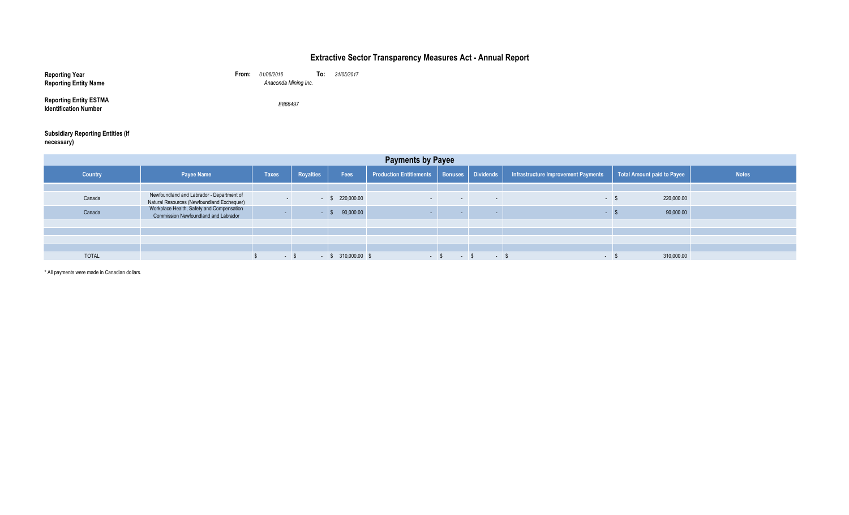### **Extractive Sector Transparency Measures Act - Annual Report**

| <b>Reporting Year</b><br><b>Reporting Entity Name</b>         | From: | 01/06/2016<br>Anaconda Mining Inc. | To: | 31/05/2017 |
|---------------------------------------------------------------|-------|------------------------------------|-----|------------|
| <b>Reporting Entity ESTMA</b><br><b>Identification Number</b> |       | E866497                            |     |            |

# **Subsidiary Reporting Entities (if necessary)**

| <b>Payments by Payee</b> |                                                                                         |              |                  |                      |                                               |                   |                          |                                     |                            |              |
|--------------------------|-----------------------------------------------------------------------------------------|--------------|------------------|----------------------|-----------------------------------------------|-------------------|--------------------------|-------------------------------------|----------------------------|--------------|
| <b>Country</b>           | Payee Name                                                                              | <b>Taxes</b> | <b>Royalties</b> | Fees                 | Production Entitlements   Bonuses   Dividends |                   |                          | Infrastructure Improvement Payments | Total Amount paid to Payee | <b>Notes</b> |
|                          |                                                                                         |              |                  |                      |                                               |                   |                          |                                     |                            |              |
| Canada                   | Newfoundland and Labrador - Department of<br>Natural Resources (Newfoundland Exchequer) |              |                  | $-$ \$ 220,000.00    | $\sim$ $\sim$                                 | $\sim$            | $\sim$                   | $\sim$ $\sim$                       | 220,000.00                 |              |
| Canada                   | Workplace Health, Safety and Compensation<br>Commission Newfoundland and Labrador       |              |                  | 90,000.00            |                                               | <b>CONTRACTOR</b> |                          |                                     | 90,000.00                  |              |
|                          |                                                                                         |              |                  |                      |                                               |                   |                          |                                     |                            |              |
|                          |                                                                                         |              |                  |                      |                                               |                   |                          |                                     |                            |              |
|                          |                                                                                         |              |                  |                      |                                               |                   |                          |                                     |                            |              |
|                          |                                                                                         |              |                  |                      |                                               |                   |                          |                                     |                            |              |
| <b>TOTAL</b>             |                                                                                         | $-$ \$       |                  | $-$ \$ 310,000.00 \$ | $-$ \$                                        | $\sim$ $\sim$     | <b>Contract Contract</b> | $\sim$ 100 $\mu$                    | 310,000.00                 |              |

\* All payments were made in Canadian dollars.